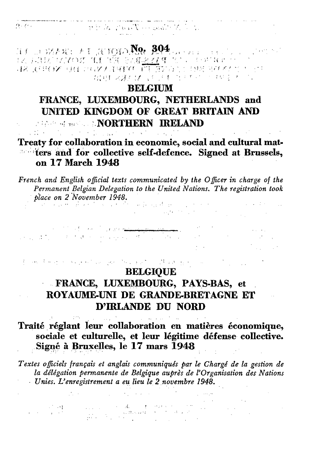# EL BEART ET ETODA**NO: 304**<br>EL LEGULIANO DE LE EN ELE<u>LAN</u>T EN ESPIRA (1999)<br>HE LEGOL GU PRAZIETO DE BEDEL BERRO DE LI **RUL 2017 以下自主的 1000 m 100 ( )**

### **BELGIUM**

# **FRANCE, LUXEMBOURG, NETHERLANDS and UNITED KINGDOM OF GREAT BRITAIN AND**  *<b> Properties ANDRTHERN IRELAND*

医异形反射的

and the set of an office and a management and the control of the control of the control

**Treaty for collaboration in economic, social and cultural mat ters and for collective self-defence. Signed at Brussels, on 17 March 1948**

*French and English official texts communicated by the Officer in charge of the Permanent Belgian Delegation to the United Nations. The registration took place on 2 November 1948.*

 $\mathcal{L}_{\mathcal{A}}$  is the set of the set of  $\mathcal{A}$ 

 $\sim 10^{-11}$ 

### $\{(\phi\phi)^{\frac{1}{2}}\sigma\phi\}$  is a second compact to a set of the first party sum of the second **BELGIQUE**

## **FRANCE, LUXEMBOURG, PAYS-BAS, et ROYAUME-UNI DE GRANDE-BRETAGNE ET D'IRLANDE DU NORD**

# Traité réglant leur collaboration en matières économique, sociale et culturelle, et leur légitime défense collective. Signé à Bruxelles, le 17 mars **1948**

*Textes officiels français et anglais communiqués par le Chargé de la gestion de la délégation permanente de Belgique auprès de l'Organisation des Nations Unies. L'enregistrement a eu lieu le 2 novembre 1948.*

 $\mathcal{F}_{\mathcal{Q}}$  , where  $\mathcal{E}_{\mathcal{Q}}$ 

 $\begin{split} \mathcal{L}_{\text{G}}(\mathbf{r},\mathbf{r}) &= \mathcal{L}_{\text{G}}(\mathbf{r},\mathbf{r}) = \mathcal{A} \mathbf{r}, \qquad \frac{1}{2} \mathcal{L}_{\text{G}}(\mathbf{r},\mathbf{r},\mathbf{r}) = \mathcal{L}_{\text{G}}(\mathbf{r},\mathbf{r}) \\ \mathcal{L}_{\text{G}}(\mathbf{r},\mathbf{r}) &= \mathcal{L}_{\text{G}}(\mathbf{r},\mathbf{r},\mathbf{r}) = \mathcal{L}_{\text{G}}(\mathbf{r},\mathbf{r},\mathbf{r}) = \mathcal{L}_{\$ 

 $\sim 10$ 

医异丙基酮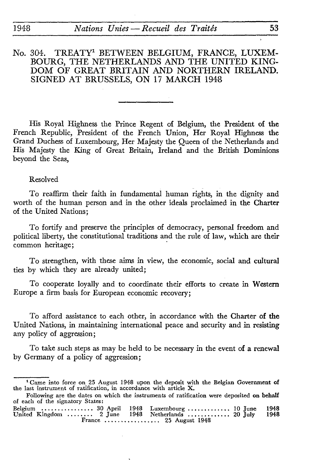#### No. 304. TREATY1 BETWEEN BELGIUM, FRANCE, LUXEM BOURG, THE NETHERLANDS AND THE UNITED KING DOM OF GREAT BRITAIN AND NORTHERN IRELAND. SIGNED AT BRUSSELS, ON 17 MARCH 1948

His Royal Highness the Prince Regent of Belgium, the President of the French Republic, President of the French Union, Her Royal Highness the Grand Duchess of Luxembourg, Her Majesty the Queen of the Netherlands and His Majesty the King of Great Britain, Ireland and the British Dominions beyond the Seas,

#### Resolved

To reaffirm their faith in fundamental human rights, in the dignity and worth of the human person and in the other ideals proclaimed in the Charter of the United Nations;

To fortify and preserve the principles of democracy, personal freedom and political liberty, the constitutional traditions and the rule of law, which are their common heritage;

To strengthen, with these aims in view, the economic, social and cultural ties by which they are already united;

To cooperate loyally and to coordinate their efforts to create in Western Europe a firm basis for European economic recovery;

To afford assistance to each other, in accordance with the Charter of the United Nations, in maintaining international peace and security and in resisting any policy of aggression;

To take such steps as may be held to be necessary in the event of a renewal by Germany of a policy of aggression;

<sup>1</sup> Came into force on 25 August 1948 upon the deposit with the Belgian Government of the last instrument of ratification, in accordance with article X.

Following are the dates on which the instruments of ratification were deposited on behalf of eacli of the signatory States: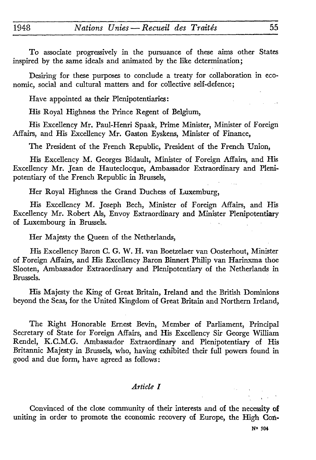To associate progressively in the pursuance of these aims other States inspired by the same ideals and animated by the like determination;

Desiring for these purposes to conclude a treaty for collaboration in eco nomic, social and cultural matters and for collective self-defence;

Have appointed as their Plenipotentiaries:

His Royal Highness the Prince Regent of Belgium,

His Excellency Mr. Paul-Henri Spaak, Prime Minister, Minister of Foreign Affairs, and His Excellency Mr. Gaston Eyskens, Minister of Finance,

The President of the French Republic, President of the French Union,

His Excellency M. Georges Bidault, Minister of Foreign Affairs, and His Excellency Mr. Jean de Hauteclocque, Ambassador Extraordinary and Pleni potentiary of the French Republic in Brussels,

Her Royal Highness the Grand Duchess of Luxemburg,

His Excellency M. Joseph Bech, Minister of Foreign Affairs, and His Excellency Mr. Robert Als, Envoy Extraordinary and Minister Plenipotentiary of Luxembourg in Brussels.

Her Majesty the Queen of the Netherlands,

His Excellency Baron C. G. W. H. van Boetzelaer van Oosterhout, Minister of Foreign Affairs, and His Excellency Baron Binnert Philip van Harinxma thoe Slooten, Ambassador Extraordinary and Plenipotentiary of the Netherlands in Brussels.

His Majesty the King of Great Britain, Ireland and the British Dominions beyond the Seas, for the United Kingdom of Great Britain and Northern Ireland,

The Right Honorable Ernest Bevin, Member of Parliament, Principal Secretary of State for Foreign Affairs, and His Excellency Sir George William Rendel, K.C.M.G. Ambassador Extraordinary and Plenipotentiary of His Britannic Majesty in Brussels, who, having exhibited their full powers found in good and due form, have agreed as follows:

#### *Article I*

Convinced of the close community of their interests and of the necessity of uniting in order to promote the economic recovery of Europe, the High Con-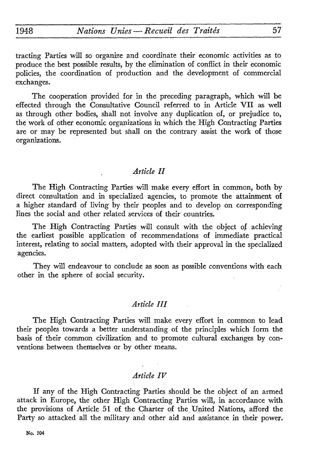tracting Parties will so organize and coordinate their economic activities as to produce the best possible results, by the elimination of conflict in their economic policies, the coordination of production and the development of commercial exchanges.

The cooperation provided for in the preceding paragraph, which will be effected through the Consultative Council referred to in Article VII as well as through other bodies, shall not involve any duplication of, or prejudice to, the work of other economic organizations in which the High Contracting Parties are or may be represented but shall on the contrary assist the work of those organizations.

#### *Article II*

The High Contracting Parties will make every effort in common, both by direct consultation and in specialized agencies, to promote the attainment of a higher standard of living by their peoples and to develop on corresponding lines the social and other related services of their countries.

The High Contracting Parties will consult with the object of achieving the earliest possible application of recommendations of immediate practical interest, relating to social matters, adopted with their approval in the specialized agencies.

They will endeavour to conclude as soon as possible conventions with each other in the sphere of social security.

#### *Article HI*

The High Contracting Parties will make every effort in common to lead their peoples towards a better understanding of the principles which form the basis of their common civilization and to promote cultural exchanges by con ventions between themselves or by other means.

#### *Article IV*

If any of the High Contracting Parties should be the object of an armed attack in Europe, the other High Contracting Parties will, in accordance with the provisions of Article .51 of the Charter of the United Nations, afford the Party so attacked all the military and other aid and assistance in their power.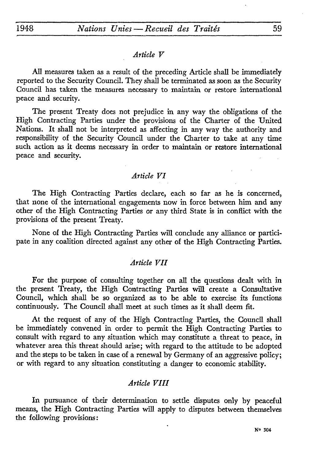#### *Article V*

All measures taken as a result of the preceding Article shall be immediately reported to the Security Council. They shall be terminated as soon as the Security Council has taken the measures necessary to maintain or restore international peace and security.

The present Treaty does not prejudice in any way the obligations of the High Contracting Parties under the provisions of the Charter of the United Nations. It shall not be interpreted as affecting in any way the authority and responsibility of the Security Council under the Charter to take at any time such action as it deems necessary in order to maintain or restore international peace and security.

#### *Article VI*

The High Contracting Parties declare, each so far as he is concerned, that none of the international engagements now in force between him and any other of the High Contracting Parties or any third State is in conflict with the provisions of the present Treaty.

None of the High Contracting Parties will conclude any alliance or partici pate in any coalition directed against any other of the High Contracting Parties.

#### *Article VII*

For the purpose of consulting together on all the questions dealt with in the present Treaty, the High Contracting Parties will create a Consultative Council, which shall be so organized as to be able to exercise its functions continuously. The Council shall meet at such times as it shall deem fit.

At the request of any of the High Contracting Parties, the Council shall be immediately convened in order to permit the High Contracting Parties to consult with regard to any situation which may constitute a threat to peace, in whatever area this threat should arise; with regard to the attitude to be adopted and the steps to be taken in case of a renewal by Germany of an aggressive policy; or with regard to any situation constituting a danger to economic stability.

#### *Article VIII*

In pursuance of their determination to settle disputes only by peaceful means, the High Contracting Parties will apply to disputes between themselves the following provisions:

**KT° 304**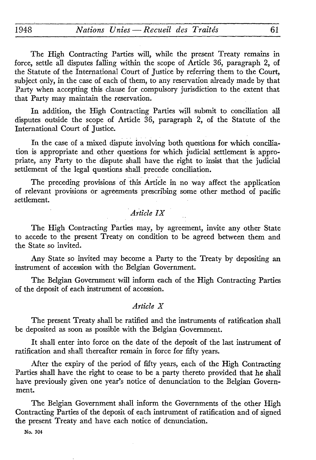1948 *Nations Unies — Recueil des Traités* 61

The High Contracting Parties will, while the present Treaty remains in force, settle all disputes falling within the scope of Article 36, paragraph 2, of the Statute of the International Court of Justice by referring them to the Court, subject only, in the case of each of them, to any reservation already made by that Party when accepting this clause for compulsory jurisdiction to the extent that that Party may maintain the reservation.

In addition, the High Contracting Parties will submit to conciliation all disputes outside the scope of Article 36, paragraph 2, of the Statute of the International Court of Justice.

In the case of a mixed dispute involving both questions for which concilia tion is appropriate and other questions for which judicial settlement is appro priate, any Party to the dispute shall have the right to insist that the judicial settlement of the legal questions shall precede conciliation.

The preceding provisions of this Article in no way affect the application of relevant provisions or agreements prescribing some other method of pacific settlement.

#### *Article IX*

The High Contracting Parties may, by agreement, invite any other State to accede to the present Treaty on condition to be agreed between them and the State so invited.

Any State so invited may become a Party to the Treaty by depositing an instrument of accession with the Belgian Government.

The Belgian Government will inform each of the High Contracting Parties of the deposit of each instrument of accession.

#### *Article X*

The present Treaty shall be ratified and the instruments of ratification shall be deposited as soon as possible with the Belgian Government.

It shall enter into force on the date of the deposit of the last instrument of ratification and shall thereafter remain in force for fifty years.

After the expiry of the period of fifty years, each of the High Contracting Parties shall have the right to cease to be a party thereto provided that he shall have previously given one year's notice of denunciation to the Belgian Govern ment.

The Belgian Government shall inform the Governments of the other High Contracting Parties of the deposit of each instrument of ratification and of signed the present Treaty and have each notice of denunciation.

No. 304